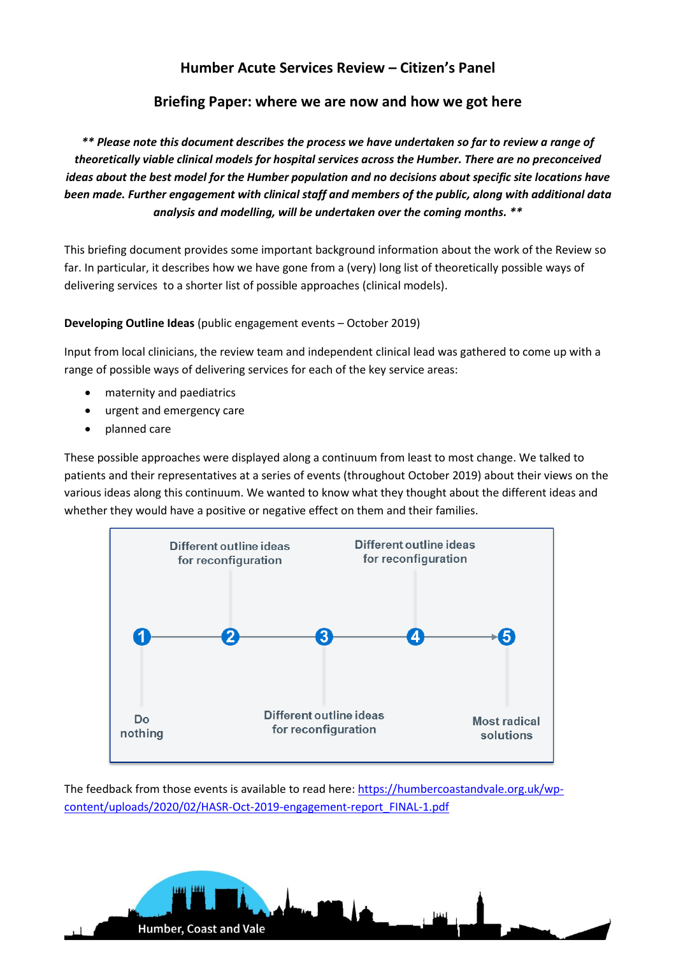# **Humber Acute Services Review – Citizen's Panel**

## **Briefing Paper: where we are now and how we got here**

*\*\* Please note this document describes the process we have undertaken so far to review a range of theoretically viable clinical models for hospital services across the Humber. There are no preconceived ideas about the best model for the Humber population and no decisions about specific site locations have been made. Further engagement with clinical staff and members of the public, along with additional data analysis and modelling, will be undertaken over the coming months. \*\** 

This briefing document provides some important background information about the work of the Review so far. In particular, it describes how we have gone from a (very) long list of theoretically possible ways of delivering services to a shorter list of possible approaches (clinical models).

**Developing Outline Ideas** (public engagement events – October 2019)

Input from local clinicians, the review team and independent clinical lead was gathered to come up with a range of possible ways of delivering services for each of the key service areas:

- maternity and paediatrics
- urgent and emergency care
- planned care

These possible approaches were displayed along a continuum from least to most change. We talked to patients and their representatives at a series of events (throughout October 2019) about their views on the various ideas along this continuum. We wanted to know what they thought about the different ideas and whether they would have a positive or negative effect on them and their families.



The feedback from those events is available to read here: [https://humbercoastandvale.org.uk/wp](https://humbercoastandvale.org.uk/wp-content/uploads/2020/02/HASR-Oct-2019-engagement-report_FINAL-1.pdf)[content/uploads/2020/02/HASR-Oct-2019-engagement-report\\_FINAL-1.pdf](https://humbercoastandvale.org.uk/wp-content/uploads/2020/02/HASR-Oct-2019-engagement-report_FINAL-1.pdf)

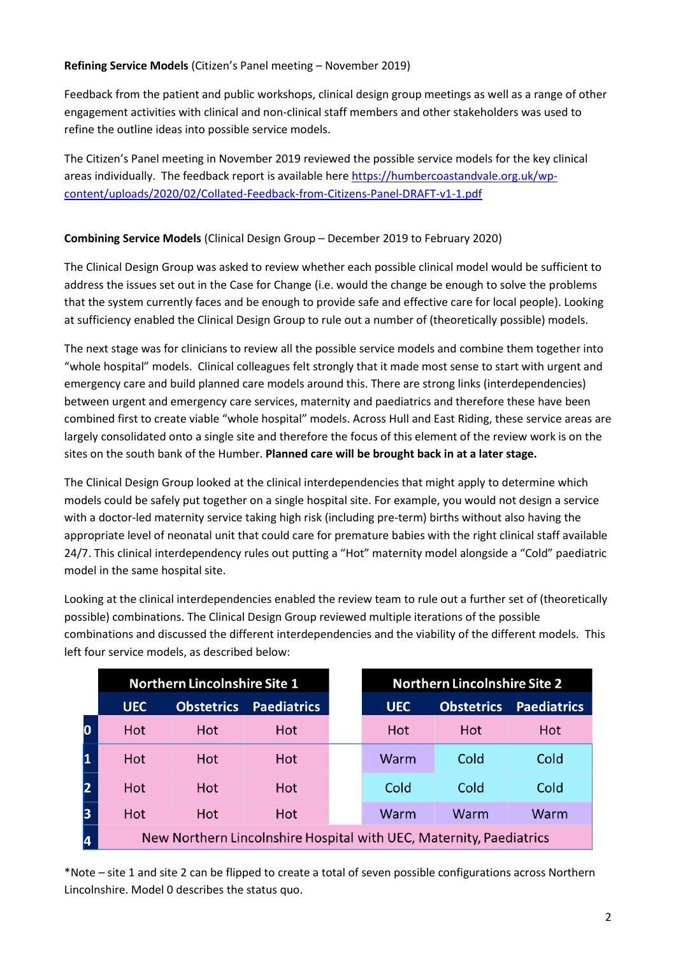### **Refining Service Models** (Citizen's Panel meeting – November 2019)

Feedback from the patient and public workshops, clinical design group meetings as well as a range of other engagement activities with clinical and non-clinical staff members and other stakeholders was used to refine the outline ideas into possible service models.

The Citizen's Panel meeting in November 2019 reviewed the possible service models for the key clinical areas individually. The feedback report is available here [https://humbercoastandvale.org.uk/wp](https://humbercoastandvale.org.uk/wp-content/uploads/2020/02/Collated-Feedback-from-Citizens-Panel-DRAFT-v1-1.pdf)[content/uploads/2020/02/Collated-Feedback-from-Citizens-Panel-DRAFT-v1-1.pdf](https://humbercoastandvale.org.uk/wp-content/uploads/2020/02/Collated-Feedback-from-Citizens-Panel-DRAFT-v1-1.pdf)

## **Combining Service Models** (Clinical Design Group – December 2019 to February 2020)

The Clinical Design Group was asked to review whether each possible clinical model would be sufficient to address the issues set out in the Case for Change (i.e. would the change be enough to solve the problems that the system currently faces and be enough to provide safe and effective care for local people). Looking at sufficiency enabled the Clinical Design Group to rule out a number of (theoretically possible) models.

The next stage was for clinicians to review all the possible service models and combine them together into "whole hospital" models. Clinical colleagues felt strongly that it made most sense to start with urgent and emergency care and build planned care models around this. There are strong links (interdependencies) between urgent and emergency care services, maternity and paediatrics and therefore these have been combined first to create viable "whole hospital" models. Across Hull and East Riding, these service areas are largely consolidated onto a single site and therefore the focus of this element of the review work is on the sites on the south bank of the Humber. **Planned care will be brought back in at a later stage.**

The Clinical Design Group looked at the clinical interdependencies that might apply to determine which models could be safely put together on a single hospital site. For example, you would not design a service with a doctor-led maternity service taking high risk (including pre-term) births without also having the appropriate level of neonatal unit that could care for premature babies with the right clinical staff available 24/7. This clinical interdependency rules out putting a "Hot" maternity model alongside a "Cold" paediatric model in the same hospital site.

Looking at the clinical interdependencies enabled the review team to rule out a further set of (theoretically possible) combinations. The Clinical Design Group reviewed multiple iterations of the possible combinations and discussed the different interdependencies and the viability of the different models. This left four service models, as described below:

|   | <b>Northern Lincolnshire Site 1</b>                                 |                   |                    |  | <b>Northern Lincolnshire Site 2</b> |                   |                    |
|---|---------------------------------------------------------------------|-------------------|--------------------|--|-------------------------------------|-------------------|--------------------|
|   | <b>UEC</b>                                                          | <b>Obstetrics</b> | <b>Paediatrics</b> |  | <b>UEC</b>                          | <b>Obstetrics</b> | <b>Paediatrics</b> |
|   | Hot                                                                 | Hot               | Hot                |  | Hot                                 | Hot               | Hot                |
|   | Hot                                                                 | Hot               | <b>Hot</b>         |  | Warm                                | Cold              | Cold               |
|   | Hot                                                                 | Hot               | <b>Hot</b>         |  | Cold                                | Cold              | Cold               |
| 3 | Hot                                                                 | Hot               | Hot                |  | Warm                                | Warm              | Warm               |
| 4 | New Northern Lincolnshire Hospital with UEC, Maternity, Paediatrics |                   |                    |  |                                     |                   |                    |

\*Note – site 1 and site 2 can be flipped to create a total of seven possible configurations across Northern Lincolnshire. Model 0 describes the status quo.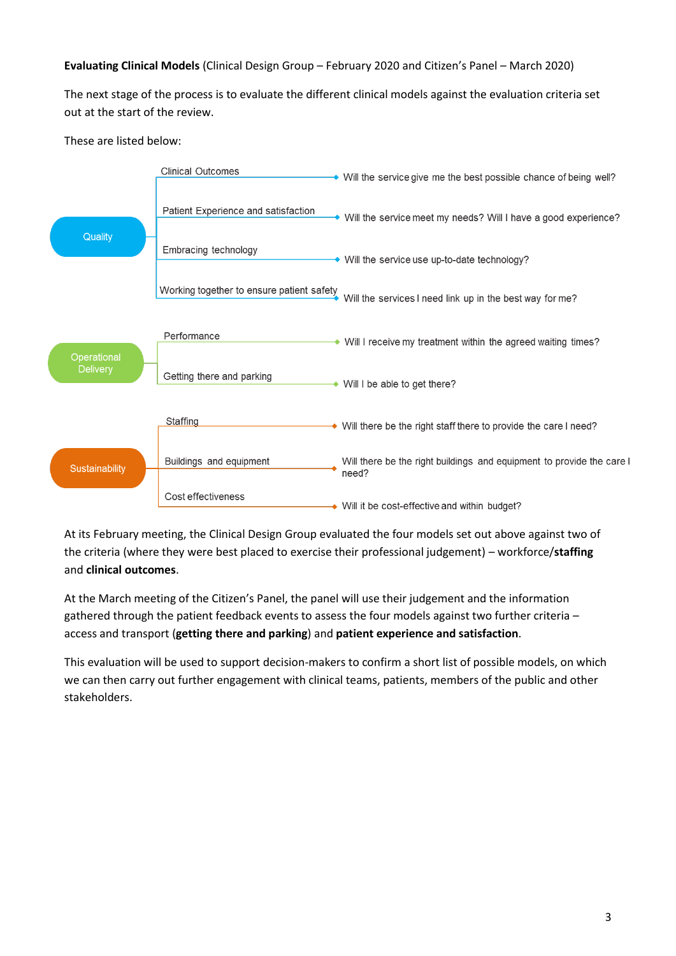## **Evaluating Clinical Models** (Clinical Design Group – February 2020 and Citizen's Panel – March 2020)

The next stage of the process is to evaluate the different clinical models against the evaluation criteria set out at the start of the review.

These are listed below:



At its February meeting, the Clinical Design Group evaluated the four models set out above against two of the criteria (where they were best placed to exercise their professional judgement) – workforce/**staffing** and **clinical outcomes**.

At the March meeting of the Citizen's Panel, the panel will use their judgement and the information gathered through the patient feedback events to assess the four models against two further criteria – access and transport (**getting there and parking**) and **patient experience and satisfaction**.

This evaluation will be used to support decision-makers to confirm a short list of possible models, on which we can then carry out further engagement with clinical teams, patients, members of the public and other stakeholders.